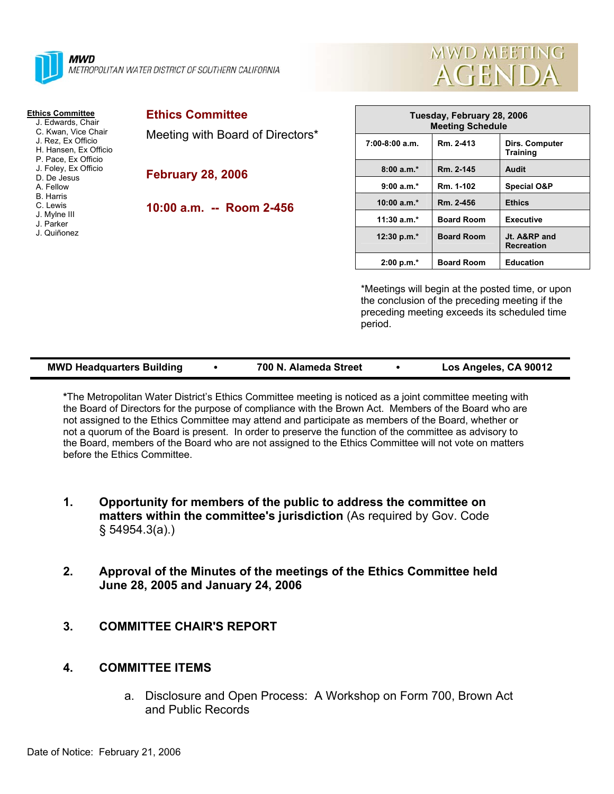



## **Ethics Committee**

 J. Edwards, Chair C. Kwan, Vice Chair

- J. Rez, Ex Officio
- H. Hansen, Ex Officio
- P. Pace, Ex Officio
- J. Foley, Ex Officio
- D. De Jesus A. Fellow
- B. Harris
- C. Lewis
- J. Mylne III
- J. Parker
- J. Quiñonez

Meeting with Board of Directors\*

**February 28, 2006** 

**10:00 a.m. -- Room 2-456** 

| Tuesday, February 28, 2006<br><b>Meeting Schedule</b> |                   |                                   |  |  |  |
|-------------------------------------------------------|-------------------|-----------------------------------|--|--|--|
| $7:00-8:00$ a.m.                                      | Rm. 2-413         | Dirs. Computer<br><b>Training</b> |  |  |  |
| $8:00a.m.*$                                           | Rm. 2-145         | Audit                             |  |  |  |
| $9:00 a.m.*$                                          | Rm. 1-102         | <b>Special O&amp;P</b>            |  |  |  |
| $10:00 a.m.*$                                         | Rm. 2-456         | <b>Ethics</b>                     |  |  |  |
| $11:30$ a.m.*                                         | <b>Board Room</b> | <b>Executive</b>                  |  |  |  |
| 12:30 p.m. $*$                                        | <b>Board Room</b> | Jt. A&RP and<br><b>Recreation</b> |  |  |  |
| $2:00 p.m.*$                                          | <b>Board Room</b> | <b>Education</b>                  |  |  |  |

\*Meetings will begin at the posted time, or upon the conclusion of the preceding meeting if the preceding meeting exceeds its scheduled time period.

| <b>MWD Headquarters Building</b> | 700 N. Alameda Street | Los Angeles, CA 90012 |
|----------------------------------|-----------------------|-----------------------|
|                                  |                       |                       |

**\***The Metropolitan Water District's Ethics Committee meeting is noticed as a joint committee meeting with the Board of Directors for the purpose of compliance with the Brown Act. Members of the Board who are not assigned to the Ethics Committee may attend and participate as members of the Board, whether or not a quorum of the Board is present. In order to preserve the function of the committee as advisory to the Board, members of the Board who are not assigned to the Ethics Committee will not vote on matters before the Ethics Committee.

- **1. Opportunity for members of the public to address the committee on matters within the committee's jurisdiction** (As required by Gov. Code § 54954.3(a).)
- **2. Approval of the Minutes of the meetings of the Ethics Committee held June 28, 2005 and January 24, 2006**
- **3. COMMITTEE CHAIR'S REPORT**

## **4. COMMITTEE ITEMS**

a. Disclosure and Open Process: A Workshop on Form 700, Brown Act and Public Records